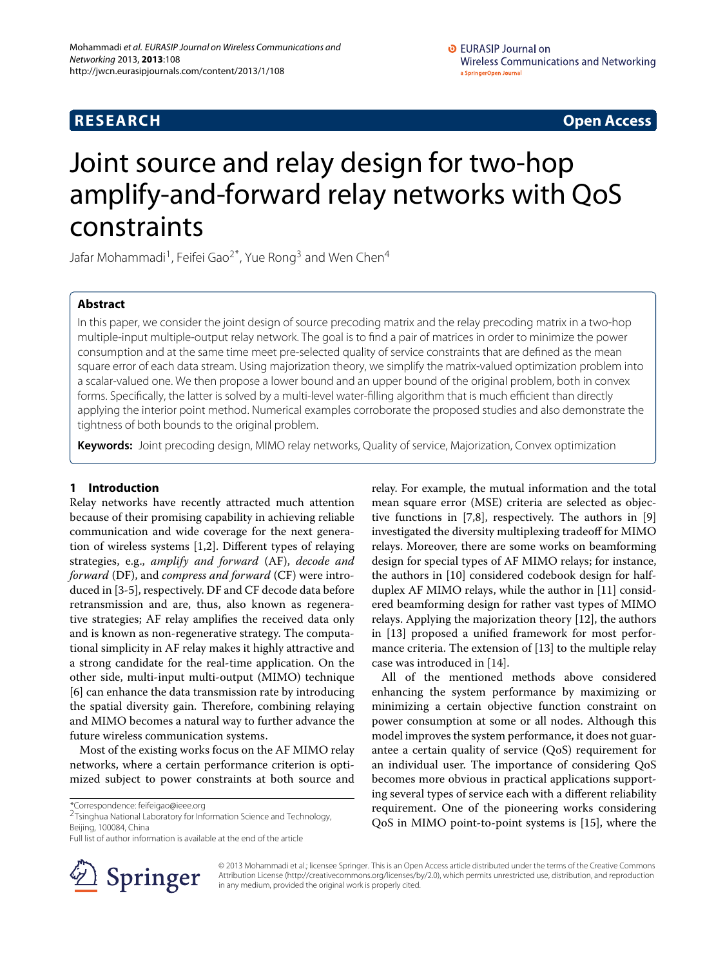# **RESEARCH Open Access**

# Joint source and relay design for two-hop amplify-and-forward relay networks with QoS constraints

Jafar Mohammadi<sup>1</sup>, Feifei Gao<sup>2\*</sup>, Yue Rong<sup>3</sup> and Wen Chen<sup>4</sup>

# **Abstract**

In this paper, we consider the joint design of source precoding matrix and the relay precoding matrix in a two-hop multiple-input multiple-output relay network. The goal is to find a pair of matrices in order to minimize the power consumption and at the same time meet pre-selected quality of service constraints that are defined as the mean square error of each data stream. Using majorization theory, we simplify the matrix-valued optimization problem into a scalar-valued one. We then propose a lower bound and an upper bound of the original problem, both in convex forms. Specifically, the latter is solved by a multi-level water-filling algorithm that is much efficient than directly applying the interior point method. Numerical examples corroborate the proposed studies and also demonstrate the tightness of both bounds to the original problem.

**Keywords:** Joint precoding design, MIMO relay networks, Quality of service, Majorization, Convex optimization

# **1 Introduction**

Relay networks have recently attracted much attention because of their promising capability in achieving reliable communication and wide coverage for the next generation of wireless systems [\[1](#page-11-0)[,2\]](#page-11-1). Different types of relaying strategies, e.g., *amplify and forward* (AF), *decode and forward* (DF), and *compress and forward* (CF) were introduced in [\[3-](#page-11-2)[5\]](#page-11-3), respectively. DF and CF decode data before retransmission and are, thus, also known as regenerative strategies; AF relay amplifies the received data only and is known as non-regenerative strategy. The computational simplicity in AF relay makes it highly attractive and a strong candidate for the real-time application. On the other side, multi-input multi-output (MIMO) technique [\[6\]](#page-11-4) can enhance the data transmission rate by introducing the spatial diversity gain. Therefore, combining relaying and MIMO becomes a natural way to further advance the future wireless communication systems.

Most of the existing works focus on the AF MIMO relay networks, where a certain performance criterion is optimized subject to power constraints at both source and

\*Correspondence: feifeigao@ieee.org 2Tsinghua National Laboratory for Information Science and Technology, Beijing, 100084, China

Full list of author information is available at the end of the article



relay. For example, the mutual information and the total mean square error (MSE) criteria are selected as objective functions in [\[7](#page-11-5)[,8\]](#page-11-6), respectively. The authors in [\[9\]](#page-12-0) investigated the diversity multiplexing tradeoff for MIMO relays. Moreover, there are some works on beamforming design for special types of AF MIMO relays; for instance, the authors in [\[10\]](#page-12-1) considered codebook design for halfduplex AF MIMO relays, while the author in [\[11\]](#page-12-2) considered beamforming design for rather vast types of MIMO relays. Applying the majorization theory [\[12\]](#page-12-3), the authors in [\[13\]](#page-12-4) proposed a unified framework for most performance criteria. The extension of [\[13\]](#page-12-4) to the multiple relay case was introduced in [\[14\]](#page-12-5).

All of the mentioned methods above considered enhancing the system performance by maximizing or minimizing a certain objective function constraint on power consumption at some or all nodes. Although this model improves the system performance, it does not guarantee a certain quality of service (QoS) requirement for an individual user. The importance of considering QoS becomes more obvious in practical applications supporting several types of service each with a different reliability requirement. One of the pioneering works considering QoS in MIMO point-to-point systems is [\[15\]](#page-12-6), where the

© 2013 Mohammadi et al.; licensee Springer. This is an Open Access article distributed under the terms of the Creative Commons Attribution License (http://creativecommons.org/licenses/by/2.0), which permits unrestricted use, distribution, and reproduction in any medium, provided the original work is properly cited.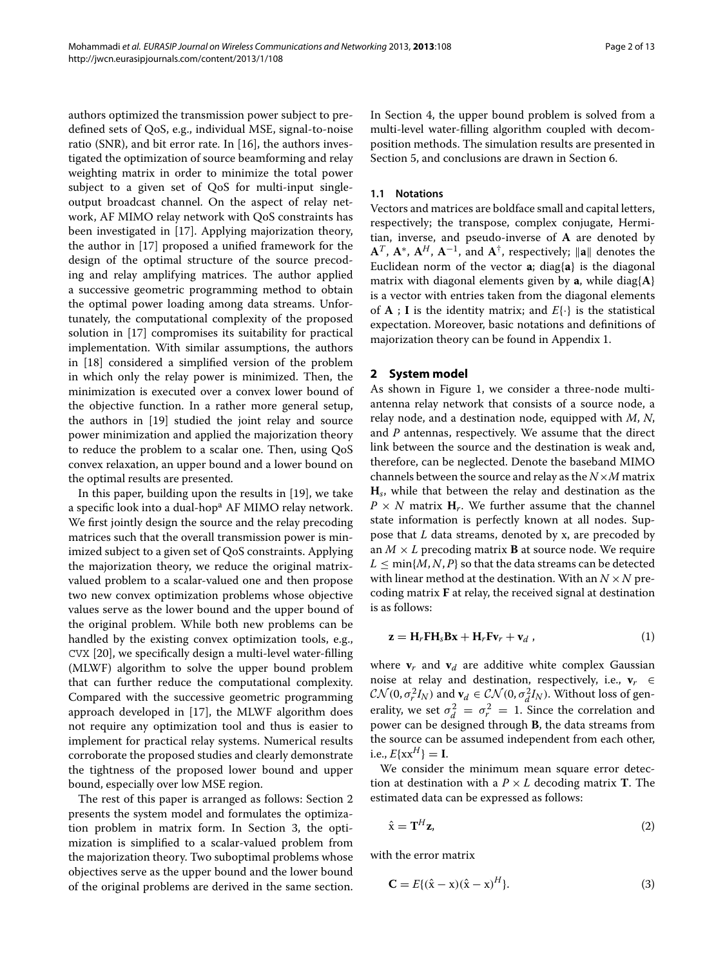authors optimized the transmission power subject to predefined sets of QoS, e.g., individual MSE, signal-to-noise ratio (SNR), and bit error rate. In [\[16\]](#page-12-7), the authors investigated the optimization of source beamforming and relay weighting matrix in order to minimize the total power subject to a given set of QoS for multi-input singleoutput broadcast channel. On the aspect of relay network, AF MIMO relay network with QoS constraints has been investigated in [\[17\]](#page-12-8). Applying majorization theory, the author in [\[17\]](#page-12-8) proposed a unified framework for the design of the optimal structure of the source precoding and relay amplifying matrices. The author applied a successive geometric programming method to obtain the optimal power loading among data streams. Unfortunately, the computational complexity of the proposed solution in [\[17\]](#page-12-8) compromises its suitability for practical implementation. With similar assumptions, the authors in [\[18\]](#page-12-9) considered a simplified version of the problem in which only the relay power is minimized. Then, the minimization is executed over a convex lower bound of the objective function. In a rather more general setup, the authors in [\[19\]](#page-12-10) studied the joint relay and source power minimization and applied the majorization theory to reduce the problem to a scalar one. Then, using QoS convex relaxation, an upper bound and a lower bound on the optimal results are presented.

In this paper, building upon the results in [\[19\]](#page-12-10), we take a specific look into a dual-hop<sup>a</sup> AF MIMO relay network. We first jointly design the source and the relay precoding matrices such that the overall transmission power is minimized subject to a given set of QoS constraints. Applying the majorization theory, we reduce the original matrixvalued problem to a scalar-valued one and then propose two new convex optimization problems whose objective values serve as the lower bound and the upper bound of the original problem. While both new problems can be handled by the existing convex optimization tools, e.g., CVX [\[20\]](#page-12-11), we specifically design a multi-level water-filling (MLWF) algorithm to solve the upper bound problem that can further reduce the computational complexity. Compared with the successive geometric programming approach developed in [\[17\]](#page-12-8), the MLWF algorithm does not require any optimization tool and thus is easier to implement for practical relay systems. Numerical results corroborate the proposed studies and clearly demonstrate the tightness of the proposed lower bound and upper bound, especially over low MSE region.

The rest of this paper is arranged as follows: Section [2](#page-1-0) presents the system model and formulates the optimization problem in matrix form. In Section [3,](#page-2-0) the optimization is simplified to a scalar-valued problem from the majorization theory. Two suboptimal problems whose objectives serve as the upper bound and the lower bound of the original problems are derived in the same section.

In Section [4,](#page-6-0) the upper bound problem is solved from a multi-level water-filling algorithm coupled with decomposition methods. The simulation results are presented in Section [5,](#page-8-0) and conclusions are drawn in Section [6.](#page-10-0)

# **1.1 Notations**

Vectors and matrices are boldface small and capital letters, respectively; the transpose, complex conjugate, Hermitian, inverse, and pseudo-inverse of **A** are denoted by  $A^T$ ,  $A^*$ ,  $A^H$ ,  $A^{-1}$ , and  $A^{\dagger}$ , respectively;  $\|\mathbf{a}\|$  denotes the Euclidean norm of the vector **a**; diag{**a**} is the diagonal matrix with diagonal elements given by **a**, while diag{**A**} is a vector with entries taken from the diagonal elements of **A** ; **I** is the identity matrix; and  $E\{\cdot\}$  is the statistical expectation. Moreover, basic notations and definitions of majorization theory can be found in Appendix [1.](#page-10-1)

# <span id="page-1-0"></span>**2 System model**

As shown in Figure [1,](#page-2-1) we consider a three-node multiantenna relay network that consists of a source node, a relay node, and a destination node, equipped with *M*, *N*, and *P* antennas, respectively. We assume that the direct link between the source and the destination is weak and, therefore, can be neglected. Denote the baseband MIMO channels between the source and relay as the  $N \times M$  matrix **H***s*, while that between the relay and destination as the  $P \times N$  matrix  $H_r$ . We further assume that the channel state information is perfectly known at all nodes. Suppose that *L* data streams, denoted by x, are precoded by an  $M \times L$  precoding matrix **B** at source node. We require  $L \leq \min\{M, N, P\}$  so that the data streams can be detected with linear method at the destination. With an  $N \times N$  precoding matrix **F** at relay, the received signal at destination is as follows:

$$
\mathbf{z} = \mathbf{H}_r \mathbf{F} \mathbf{H}_s \mathbf{B} \mathbf{x} + \mathbf{H}_r \mathbf{F} \mathbf{v}_r + \mathbf{v}_d \tag{1}
$$

where  $\mathbf{v}_r$  and  $\mathbf{v}_d$  are additive white complex Gaussian noise at relay and destination, respectively, i.e.,  $\mathbf{v}_r \in$  $\mathcal{CN}(0, \sigma_r^2 I_N)$  and  $\mathbf{v}_d \in \mathcal{CN}(0, \sigma_d^2 I_N)$ . Without loss of generality, we set  $\sigma_d^2 = \sigma_r^2 = 1$ . Since the correlation and power can be designed through **B**, the data streams from the source can be assumed independent from each other, i.e.,  $E{x}^{H}$  = **I**.

We consider the minimum mean square error detection at destination with a  $P \times L$  decoding matrix **T**. The estimated data can be expressed as follows:

$$
\hat{\mathbf{x}} = \mathbf{T}^H \mathbf{z},\tag{2}
$$

with the error matrix

$$
\mathbf{C} = E\{(\hat{x} - x)(\hat{x} - x)^H\}.
$$
 (3)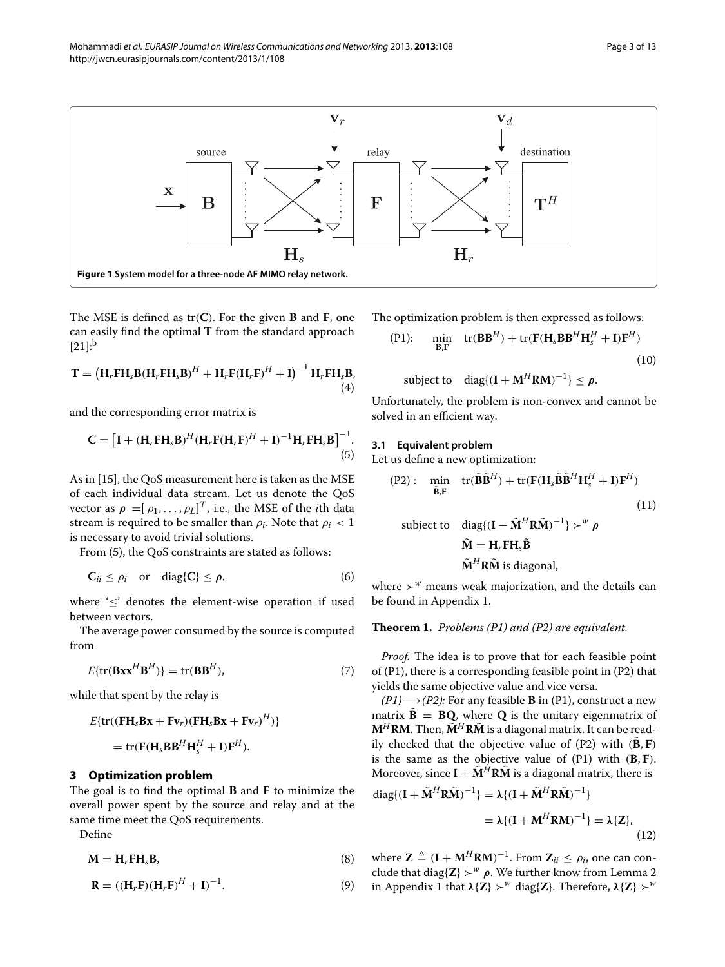

<span id="page-2-1"></span>The MSE is defined as tr*(***C***)*. For the given **B** and **F**, one can easily find the optimal **T** from the standard approach  $[21]:<sup>b</sup>$  $[21]:<sup>b</sup>$ 

$$
\mathbf{T} = \left(\mathbf{H}_r \mathbf{F} \mathbf{H}_s \mathbf{B} (\mathbf{H}_r \mathbf{F} \mathbf{H}_s \mathbf{B})^H + \mathbf{H}_r \mathbf{F} (\mathbf{H}_r \mathbf{F})^H + \mathbf{I}\right)^{-1} \mathbf{H}_r \mathbf{F} \mathbf{H}_s \mathbf{B},
$$
\n(4)

and the corresponding error matrix is

$$
\mathbf{C} = \left[\mathbf{I} + (\mathbf{H}_r \mathbf{F} \mathbf{H}_s \mathbf{B})^H (\mathbf{H}_r \mathbf{F} (\mathbf{H}_r \mathbf{F})^H + \mathbf{I})^{-1} \mathbf{H}_r \mathbf{F} \mathbf{H}_s \mathbf{B}\right]^{-1}.
$$
\n(5)

As in [\[15\]](#page-12-6), the QoS measurement here is taken as the MSE of each individual data stream. Let us denote the QoS vector as  $\rho = [\rho_1, \ldots, \rho_L]^T$ , i.e., the MSE of the *i*th data stream is required to be smaller than  $\rho_i$ . Note that  $\rho_i < 1$ is necessary to avoid trivial solutions.

From [\(5\)](#page-2-2), the QoS constraints are stated as follows:

$$
\mathbf{C}_{ii} \leq \rho_i \quad \text{or} \quad \text{diag}\{\mathbf{C}\} \leq \boldsymbol{\rho}, \tag{6}
$$

where '≤' denotes the element-wise operation if used between vectors.

The average power consumed by the source is computed from

$$
E\{\text{tr}(\mathbf{B}\mathbf{x}\mathbf{x}^{H}\mathbf{B}^{H})\} = \text{tr}(\mathbf{B}\mathbf{B}^{H}),\tag{7}
$$

while that spent by the relay is

$$
E\{\text{tr}((\mathbf{F}\mathbf{H}_s\mathbf{B}\mathbf{x} + \mathbf{F}\mathbf{v}_r)(\mathbf{F}\mathbf{H}_s\mathbf{B}\mathbf{x} + \mathbf{F}\mathbf{v}_r)^H)\}
$$
  
= tr(\mathbf{F}(\mathbf{H}\_s\mathbf{B}\mathbf{B}^H\mathbf{H}\_s^H + \mathbf{I})\mathbf{F}^H).

#### <span id="page-2-0"></span>**3 Optimization problem**

The goal is to find the optimal **B** and **F** to minimize the overall power spent by the source and relay and at the same time meet the QoS requirements.

Define

$$
\mathbf{M} = \mathbf{H}_r \mathbf{F} \mathbf{H}_s \mathbf{B},\tag{8}
$$

$$
\mathbf{R} = ((\mathbf{H}_r \mathbf{F})(\mathbf{H}_r \mathbf{F})^H + \mathbf{I})^{-1}.
$$
 (9)

The optimization problem is then expressed as follows:

<span id="page-2-3"></span>(P1): min  
\n
$$
tr(BB^{H}) + tr(F(H_{s}BB^{H}H_{s}^{H} + I)F^{H})
$$
\n(10)  
\nsubject to diag{(I + M^{H}RM)<sup>-1</sup>}  $\leq \rho$ .

Unfortunately, the problem is non-convex and cannot be solved in an efficient way.

# <span id="page-2-2"></span>**3.1 Equivalent problem**

Let us define a new optimization:

$$
\text{(P2):} \quad \min_{\tilde{\mathbf{B}}, \mathbf{F}} \quad \text{tr}(\tilde{\mathbf{B}}\tilde{\mathbf{B}}^H) + \text{tr}(\mathbf{F}(\mathbf{H}_s\tilde{\mathbf{B}}\tilde{\mathbf{B}}^H\mathbf{H}_s^H + \mathbf{I})\mathbf{F}^H) \tag{11}
$$
\n
$$
\text{subject to} \quad \text{diag}\{(\mathbf{I} + \tilde{\mathbf{M}}^H\mathbf{R}\tilde{\mathbf{M}})^{-1}\} \succ^w \rho
$$
\n
$$
\tilde{\mathbf{M}} = \mathbf{H}_r\mathbf{F}\mathbf{H}_s\tilde{\mathbf{B}} \tag{12}
$$
\n
$$
\tilde{\mathbf{M}}^H\mathbf{R}\tilde{\mathbf{M}} \text{ is diagonal,}
$$

where  $\succ^w$  means weak majorization, and the details can be found in Appendix [1.](#page-10-1)

#### **Theorem 1.** *Problems (P1) and (P2) are equivalent.*

*Proof.* The idea is to prove that for each feasible point of (P1), there is a corresponding feasible point in (P2) that yields the same objective value and vice versa.

*(P1)*−→*(P2):* For any feasible **B** in (P1), construct a new matrix  $\tilde{\mathbf{B}} = \mathbf{B}\mathbf{O}$ , where **O** is the unitary eigenmatrix of  $M^H$ **RM**. Then,  $\tilde{M}^H$ **R** $\tilde{M}$  is a diagonal matrix. It can be readily checked that the objective value of  $(P2)$  with  $(\tilde{B}, F)$ is the same as the objective value of (P1) with *(***B**, **F***)*. Moreover, since  $I + \tilde{M}^H R \tilde{M}$  is a diagonal matrix, there is

$$
\begin{aligned} \text{diag}\{(\mathbf{I} + \tilde{\mathbf{M}}^H \mathbf{R} \tilde{\mathbf{M}})^{-1}\} &= \lambda \{(\mathbf{I} + \tilde{\mathbf{M}}^H \mathbf{R} \tilde{\mathbf{M}})^{-1}\} \\ &= \lambda \{(\mathbf{I} + \mathbf{M}^H \mathbf{R} \mathbf{M})^{-1}\} = \lambda \{Z\}, \end{aligned} \tag{12}
$$

where  $\mathbf{Z} \triangleq (\mathbf{I} + \mathbf{M}^H \mathbf{R} \mathbf{M})^{-1}$ . From  $\mathbf{Z}_{ii} \leq \rho_i$ , one can conclude that diag{ $\mathbf{Z}$ }  $\succ^w \rho$ . We further know from Lemma 2 in Appendix [1](#page-10-1) that  $\lambda$ {**Z**}  $\succ$ <sup>*w*</sup> diag{**Z**}. Therefore,  $\lambda$ {**Z**}  $\succ$ <sup>*w*</sup>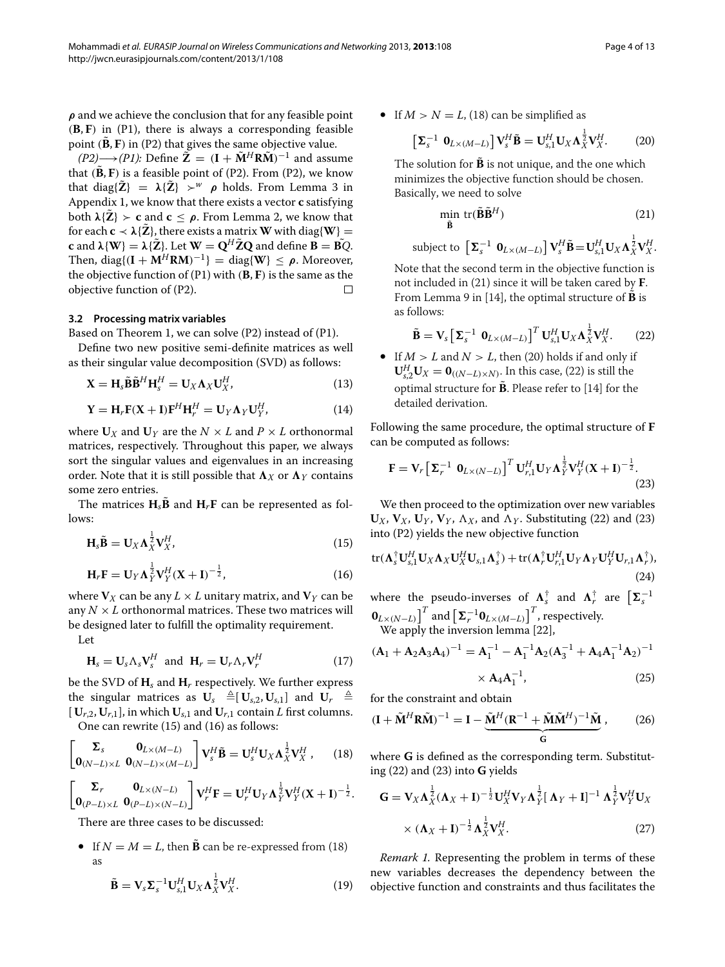*ρ* and we achieve the conclusion that for any feasible point *(***B**, **F***)* in (P1), there is always a corresponding feasible point  $(\tilde{B}, F)$  in (P2) that gives the same objective value.

*(P2)*→*<i>(P1)*: Define  $\tilde{Z}$  =  $(I + \tilde{M}^H R \tilde{M})^{-1}$  and assume that  $(\tilde{B}, F)$  is a feasible point of  $(P2)$ . From  $(P2)$ , we know that diag{ $\tilde{Z}$ } =  $\lambda \{ \tilde{Z} \}$   $>^w$  *ρ* holds. From Lemma 3 in Appendix [1,](#page-10-1) we know that there exists a vector **c** satisfying both  $\lambda \{ \tilde{Z} \}$  > **c** and **c**  $\leq \rho$ . From Lemma 2, we know that for each  $c \prec \lambda \{ \tilde{Z} \}$ , there exists a matrix **W** with diag{**W**} =  $c$  and  $\lambda$ {**W**} =  $\lambda$ { $\tilde{Z}$ }. Let  $\mathbf{W} = \mathbf{Q}^H \tilde{Z} \mathbf{Q}$  and define  $\mathbf{B} = \tilde{\mathbf{B} Q}$ . Then, diag{ $(I + M^H RM)^{-1}$ } = diag{ $W$ } <  $\rho$ . Moreover, the objective function of (P1) with *(***B**, **F***)* is the same as the objective function of (P2).  $\Box$ 

#### **3.2 Processing matrix variables**

Based on Theorem 1, we can solve (P2) instead of (P1).

Define two new positive semi-definite matrices as well as their singular value decomposition (SVD) as follows:

$$
\mathbf{X} = \mathbf{H}_s \tilde{\mathbf{B}} \tilde{\mathbf{B}}^H \mathbf{H}_s^H = \mathbf{U}_X \mathbf{\Lambda}_X \mathbf{U}_X^H, \tag{13}
$$

$$
\mathbf{Y} = \mathbf{H}_r \mathbf{F} (\mathbf{X} + \mathbf{I}) \mathbf{F}^H \mathbf{H}_r^H = \mathbf{U}_Y \mathbf{\Lambda}_Y \mathbf{U}_Y^H, \tag{14}
$$

where  $U_X$  and  $U_Y$  are the  $N \times L$  and  $P \times L$  orthonormal matrices, respectively. Throughout this paper, we always sort the singular values and eigenvalues in an increasing order. Note that it is still possible that  $\Lambda_X$  or  $\Lambda_Y$  contains some zero entries.

The matrices  $H_{S}$ **B** and  $H_{r}$ **F** can be represented as follows:

$$
\mathbf{H}_{s}\tilde{\mathbf{B}}=\mathbf{U}_{X}\mathbf{\Lambda}_{X}^{\frac{1}{2}}\mathbf{V}_{X}^{H},\tag{15}
$$

$$
H_r F = U_Y \Lambda_Y^{\frac{1}{2}} V_Y^H (X+I)^{-\frac{1}{2}},
$$
\n(16)

where  $V_X$  can be any  $L \times L$  unitary matrix, and  $V_Y$  can be any  $N \times L$  orthonormal matrices. These two matrices will be designed later to fulfill the optimality requirement.

Let

$$
\mathbf{H}_s = \mathbf{U}_s \Lambda_s \mathbf{V}_s^H \text{ and } \mathbf{H}_r = \mathbf{U}_r \Lambda_r \mathbf{V}_r^H
$$
 (17)

be the SVD of  $H_s$  and  $H_r$  respectively. We further express the singular matrices as  $\mathbf{U}_s \triangleq [\mathbf{U}_{s,2}, \mathbf{U}_{s,1}]$  and  $\mathbf{U}_r \triangleq$  $[V_{r,2}, U_{r,1}]$ , in which  $U_{s,1}$  and  $U_{r,1}$  contain *L* first columns. One can rewrite [\(15\)](#page-3-0) and [\(16\)](#page-3-1) as follows:

$$
\begin{bmatrix} \Sigma_s & \mathbf{0}_{L \times (M-L)} \\ \mathbf{0}_{(N-L) \times L} & \mathbf{0}_{(N-L) \times (M-L)} \end{bmatrix} \mathbf{V}_s^H \tilde{\mathbf{B}} = \mathbf{U}_s^H \mathbf{U}_X \mathbf{\Lambda}_X^{\frac{1}{2}} \mathbf{V}_X^H , \qquad (18)
$$

$$
\begin{bmatrix} \boldsymbol{\Sigma}_r & \mathbf{0}_{L\times (N-L)} \\ \mathbf{0}_{(P-L)\times L} & \mathbf{0}_{(P-L)\times (N-L)} \end{bmatrix} \mathbf{V}_r^H \mathbf{F} = \mathbf{U}_r^H \mathbf{U}_Y \boldsymbol{\Lambda}_Y^{\frac{1}{2}} \mathbf{V}_Y^H (\mathbf{X} + \mathbf{I})^{-\frac{1}{2}}.
$$

There are three cases to be discussed:

• If  $N = M = L$ , then **B** can be re-expressed from [\(18\)](#page-3-2) as

$$
\tilde{\mathbf{B}} = \mathbf{V}_s \mathbf{\Sigma}_s^{-1} \mathbf{U}_{s,1}^H \mathbf{U}_X \mathbf{\Lambda}_X^{\frac{1}{2}} \mathbf{V}_X^H.
$$
\n(19)

• If  $M > N = L$ , [\(18\)](#page-3-2) can be simplified as

$$
\left[\mathbf{\Sigma}_{s}^{-1} \mathbf{0}_{L\times(M-L)}\right] \mathbf{V}_{s}^{H} \tilde{\mathbf{B}} = \mathbf{U}_{s,1}^{H} \mathbf{U}_{X} \Lambda_{X}^{\frac{1}{2}} \mathbf{V}_{X}^{H}.
$$
 (20)

The solution for  $\tilde{B}$  is not unique, and the one which minimizes the objective function should be chosen. Basically, we need to solve

<span id="page-3-4"></span><span id="page-3-3"></span>
$$
\min_{\tilde{\mathbf{B}}} \text{tr}(\tilde{\mathbf{B}}\tilde{\mathbf{B}}^H) \tag{21}
$$

subject to  $\left[\mathbf{\Sigma}_{s}^{-1} \mathbf{0}_{L\times (M-L)}\right] \mathbf{V}_{s}^{H} \tilde{\mathbf{B}} = \mathbf{U}_{s,1}^{H} \mathbf{U}_{X} \mathbf{\Lambda}_{X}^{\frac{1}{2}} \mathbf{V}_{X}^{H}.$ 

Note that the second term in the objective function is not included in [\(21\)](#page-3-3) since it will be taken cared by **F**. From Lemma 9 in [\[14\]](#page-12-5), the optimal structure of  $\tilde{\mathbf{B}}$  is as follows:

<span id="page-3-5"></span>
$$
\widetilde{\mathbf{B}} = \mathbf{V}_s \left[ \boldsymbol{\Sigma}_s^{-1} \ \mathbf{0}_{L \times (M-L)} \right]^T \mathbf{U}_{s,1}^H \mathbf{U}_X \boldsymbol{\Lambda}_X^{\frac{1}{2}} \mathbf{V}_X^H. \tag{22}
$$

• If  $M > L$  and  $N > L$ , then [\(20\)](#page-3-4) holds if and only if  $\mathbf{U}_{s,2}^H \mathbf{U}_X = \mathbf{0}_{((N-L)\times N)}$ . In this case, [\(22\)](#page-3-5) is still the optimal structure for  $\tilde{B}$ . Please refer to [\[14\]](#page-12-5) for the detailed derivation.

Following the same procedure, the optimal structure of **F** can be computed as follows:

<span id="page-3-6"></span>
$$
\mathbf{F} = \mathbf{V}_r \left[ \boldsymbol{\Sigma}_r^{-1} \ \mathbf{0}_{L \times (N-L)} \right]^T \mathbf{U}_{r,1}^H \mathbf{U}_Y \boldsymbol{\Lambda}_Y^{\frac{1}{2}} \mathbf{V}_Y^H (\mathbf{X} + \mathbf{I})^{-\frac{1}{2}}.
$$
\n(23)

We then proceed to the optimization over new variables  $U_X$ ,  $V_X$ ,  $U_Y$ ,  $V_Y$ ,  $\Lambda_X$ , and  $\Lambda_Y$ . Substituting [\(22\)](#page-3-5) and [\(23\)](#page-3-6) into (P2) yields the new objective function

<span id="page-3-1"></span><span id="page-3-0"></span>tr(
$$
\mathbf{\Lambda}_s^{\dagger} \mathbf{U}_{s,1}^H \mathbf{U}_X \mathbf{\Lambda}_X \mathbf{U}_X^H \mathbf{U}_{s,1} \mathbf{\Lambda}_s^{\dagger}) + \text{tr}(\mathbf{\Lambda}_r^{\dagger} \mathbf{U}_{r,1}^H \mathbf{U}_Y \mathbf{\Lambda}_Y \mathbf{U}_Y^H \mathbf{U}_{r,1} \mathbf{\Lambda}_r^{\dagger}),
$$
\n(24)

where the pseudo-inverses of  $\Lambda_{s}^{\dagger}$  and  $\Lambda_{r}^{\dagger}$  are  $\left[\Sigma_{s}^{-1}\right]$  $\bm{0}_{L\times (N-L)}\big]^T$  and  $\big[\bm{\Sigma}_r^{-1}\bm{0}_{L\times (M-L)}\big]^T$ , respectively. We apply the inversion lemma [\[22\]](#page-12-13),

$$
(\mathbf{A}_1 + \mathbf{A}_2 \mathbf{A}_3 \mathbf{A}_4)^{-1} = \mathbf{A}_1^{-1} - \mathbf{A}_1^{-1} \mathbf{A}_2 (\mathbf{A}_3^{-1} + \mathbf{A}_4 \mathbf{A}_1^{-1} \mathbf{A}_2)^{-1}
$$

$$
\times \mathbf{A}_4 \mathbf{A}_1^{-1},
$$
(25)

for the constraint and obtain

$$
(\mathbf{I} + \tilde{\mathbf{M}}^H \mathbf{R} \tilde{\mathbf{M}})^{-1} = \mathbf{I} - \underbrace{\tilde{\mathbf{M}}^H (\mathbf{R}^{-1} + \tilde{\mathbf{M}} \tilde{\mathbf{M}}^H)^{-1} \tilde{\mathbf{M}}}_{\mathbf{G}},
$$
 (26)

<span id="page-3-2"></span>where **G** is defined as the corresponding term. Substituting [\(22\)](#page-3-5) and [\(23\)](#page-3-6) into **G** yields

<span id="page-3-7"></span>
$$
\mathbf{G} = \mathbf{V}_{X} \mathbf{\Lambda}_{X}^{\frac{1}{2}} (\mathbf{\Lambda}_{X} + \mathbf{I})^{-\frac{1}{2}} \mathbf{U}_{X}^{H} \mathbf{V}_{Y} \mathbf{\Lambda}_{Y}^{\frac{1}{2}} [\mathbf{\Lambda}_{Y} + \mathbf{I}]^{-1} \mathbf{\Lambda}_{Y}^{\frac{1}{2}} \mathbf{V}_{Y}^{H} \mathbf{U}_{X}
$$

$$
\times (\mathbf{\Lambda}_{X} + \mathbf{I})^{-\frac{1}{2}} \mathbf{\Lambda}_{X}^{\frac{1}{2}} \mathbf{V}_{X}^{H}. \tag{27}
$$

*Remark 1.* Representing the problem in terms of these new variables decreases the dependency between the objective function and constraints and thus facilitates the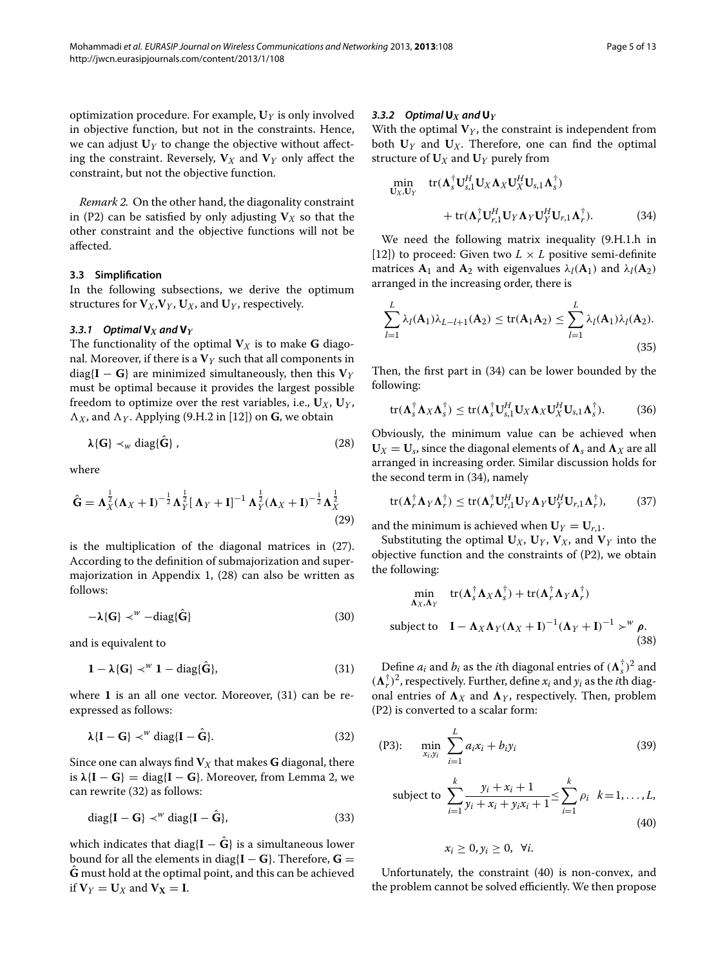optimization procedure. For example, **U***<sup>Y</sup>* is only involved in objective function, but not in the constraints. Hence, we can adjust  $U_Y$  to change the objective without affecting the constraint. Reversely,  $V_X$  and  $V_Y$  only affect the constraint, but not the objective function.

*Remark 2.* On the other hand, the diagonality constraint in (P2) can be satisfied by only adjusting  $V_X$  so that the other constraint and the objective functions will not be affected.

# **3.3 Simplification**

In the following subsections, we derive the optimum structures for  $V_X$ ,  $V_Y$ ,  $U_X$ , and  $U_Y$ , respectively.

# 3.3.1 Optimal  $V_X$  and  $V_Y$

The functionality of the optimal  $V_X$  is to make **G** diagonal. Moreover, if there is a  $V<sub>Y</sub>$  such that all components in diag{ $I - G$ } are minimized simultaneously, then this  $V_Y$ must be optimal because it provides the largest possible freedom to optimize over the rest variables, i.e.,  $U_X$ ,  $U_Y$ ,  $\Lambda_X$ , and  $\Lambda_Y$ . Applying (9.H.2 in [\[12\]](#page-12-3)) on **G**, we obtain

$$
\lambda\{G\} \prec_w \text{diag}\{\hat{G}\}\,,\tag{28}
$$

where

$$
\hat{\mathbf{G}} = \mathbf{\Lambda}_X^{\frac{1}{2}} (\mathbf{\Lambda}_X + \mathbf{I})^{-\frac{1}{2}} \mathbf{\Lambda}_Y^{\frac{1}{2}} [\mathbf{\Lambda}_Y + \mathbf{I}]^{-1} \mathbf{\Lambda}_Y^{\frac{1}{2}} (\mathbf{\Lambda}_X + \mathbf{I})^{-\frac{1}{2}} \mathbf{\Lambda}_X^{\frac{1}{2}}
$$
(29)

is the multiplication of the diagonal matrices in [\(27\)](#page-3-7). According to the definition of submajorization and supermajorization in Appendix [1,](#page-10-1) [\(28\)](#page-4-0) can also be written as follows:

$$
-\lambda\{\mathbf{G}\}\prec^w-\text{diag}\{\hat{\mathbf{G}}\}\tag{30}
$$

and is equivalent to

$$
1 - \lambda \{G\} \prec^W 1 - \text{diag}\{\hat{G}\},\tag{31}
$$

where **1** is an all one vector. Moreover, [\(31\)](#page-4-1) can be reexpressed as follows:

<span id="page-4-2"></span>
$$
\lambda \{I - G\} \prec^w \text{diag}\{I - \hat{G}\}.
$$
 (32)

Since one can always find  $V_X$  that makes **G** diagonal, there is  $\lambda$ {**I** – **G**} = diag{**I** – **G**}. Moreover, from Lemma 2, we can rewrite [\(32\)](#page-4-2) as follows:

$$
\text{diag}\{\mathbf{I} - \mathbf{G}\} \prec^w \text{diag}\{\mathbf{I} - \hat{\mathbf{G}}\},\tag{33}
$$

which indicates that diag ${I - \hat{G}}$  is a simultaneous lower bound for all the elements in diag ${I - G}$ . Therefore,  $G =$  $\hat{\mathbf{G}}$  must hold at the optimal point, and this can be achieved if  $V_Y = U_X$  and  $V_X = I$ .

#### 3.3.2 Optimal  $U_X$  and  $U_Y$

With the optimal  $V_Y$ , the constraint is independent from both  $U_Y$  and  $U_X$ . Therefore, one can find the optimal structure of  $U_X$  and  $U_Y$  purely from

<span id="page-4-3"></span>
$$
\begin{aligned}\n\min_{\mathbf{U}_{X},\mathbf{U}_{Y}} \quad & \text{tr}(\mathbf{\Lambda}_{s}^{\dagger} \mathbf{U}_{s,1}^{H} \mathbf{U}_{X} \mathbf{\Lambda}_{X} \mathbf{U}_{X}^{H} \mathbf{U}_{s,1} \mathbf{\Lambda}_{s}^{\dagger}) \\
&\quad + \text{tr}(\mathbf{\Lambda}_{r}^{\dagger} \mathbf{U}_{r,1}^{H} \mathbf{U}_{Y} \mathbf{\Lambda}_{Y} \mathbf{U}_{Y}^{H} \mathbf{U}_{r,1} \mathbf{\Lambda}_{r}^{\dagger}).\n\end{aligned} \tag{34}
$$

We need the following matrix inequality (9.H.1.h in [\[12\]](#page-12-3)) to proceed: Given two  $L \times L$  positive semi-definite matrices  $A_1$  and  $A_2$  with eigenvalues  $\lambda_l(A_1)$  and  $\lambda_l(A_2)$ arranged in the increasing order, there is

$$
\sum_{l=1}^{L} \lambda_l(A_1) \lambda_{L-l+1}(A_2) \le \text{tr}(A_1 A_2) \le \sum_{l=1}^{L} \lambda_l(A_1) \lambda_l(A_2).
$$
\n(35)

Then, the first part in [\(34\)](#page-4-3) can be lower bounded by the following:

$$
\text{tr}(\mathbf{\Lambda}_{s}^{\dagger} \mathbf{\Lambda}_{X} \mathbf{\Lambda}_{s}^{\dagger}) \leq \text{tr}(\mathbf{\Lambda}_{s}^{\dagger} \mathbf{U}_{s,1}^{H} \mathbf{U}_{X} \mathbf{\Lambda}_{X} \mathbf{U}_{X}^{H} \mathbf{U}_{s,1} \mathbf{\Lambda}_{s}^{\dagger}). \tag{36}
$$

<span id="page-4-0"></span>Obviously, the minimum value can be achieved when  $U_X = U_s$ , since the diagonal elements of  $\Lambda_s$  and  $\Lambda_X$  are all arranged in increasing order. Similar discussion holds for the second term in [\(34\)](#page-4-3), namely

$$
\text{tr}(\mathbf{\Lambda}_r^{\dagger} \mathbf{\Lambda}_Y \mathbf{\Lambda}_r^{\dagger}) \leq \text{tr}(\mathbf{\Lambda}_r^{\dagger} \mathbf{U}_{r,1}^H \mathbf{U}_Y \mathbf{\Lambda}_Y \mathbf{U}_Y^H \mathbf{U}_{r,1} \mathbf{\Lambda}_r^{\dagger}),\tag{37}
$$

and the minimum is achieved when  $U_Y = U_{r,1}$ .

Substituting the optimal  $U_X$ ,  $U_Y$ ,  $V_X$ , and  $V_Y$  into the objective function and the constraints of (P2), we obtain the following:

$$
\min_{\mathbf{\Lambda}_X, \mathbf{\Lambda}_Y} \text{tr}(\mathbf{\Lambda}_S^{\dagger} \mathbf{\Lambda}_X \mathbf{\Lambda}_S^{\dagger}) + \text{tr}(\mathbf{\Lambda}_r^{\dagger} \mathbf{\Lambda}_Y \mathbf{\Lambda}_r^{\dagger})
$$
\nsubject to  $\mathbf{I} - \mathbf{\Lambda}_X \mathbf{\Lambda}_Y (\mathbf{\Lambda}_X + \mathbf{I})^{-1} (\mathbf{\Lambda}_Y + \mathbf{I})^{-1} \succ^w \mathbf{\rho}.$ \n(38)

<span id="page-4-1"></span>Define  $a_i$  and  $b_i$  as the *i*th diagonal entries of  $(\Lambda_s^{\dagger})^2$  and  $({\bf \Lambda}_r^{\dagger})^2$ , respectively. Further, define  $x_i$  and  $y_i$  as the *i*th diagonal entries of  $\Lambda_X$  and  $\Lambda_Y$ , respectively. Then, problem (P2) is converted to a scalar form:

(P3): 
$$
\min_{x_i, y_i} \sum_{i=1}^{L} a_i x_i + b_i y_i
$$
 (39)

subject to 
$$
\sum_{i=1}^{k} \frac{y_i + x_i + 1}{y_i + x_i + y_i x_i + 1} \leq \sum_{i=1}^{k} \rho_i \quad k = 1, ..., L,
$$
\n(40)

<span id="page-4-5"></span><span id="page-4-4"></span>
$$
x_i\geq 0, y_i\geq 0, \ \forall i.
$$

Unfortunately, the constraint [\(40\)](#page-4-4) is non-convex, and the problem cannot be solved efficiently. We then propose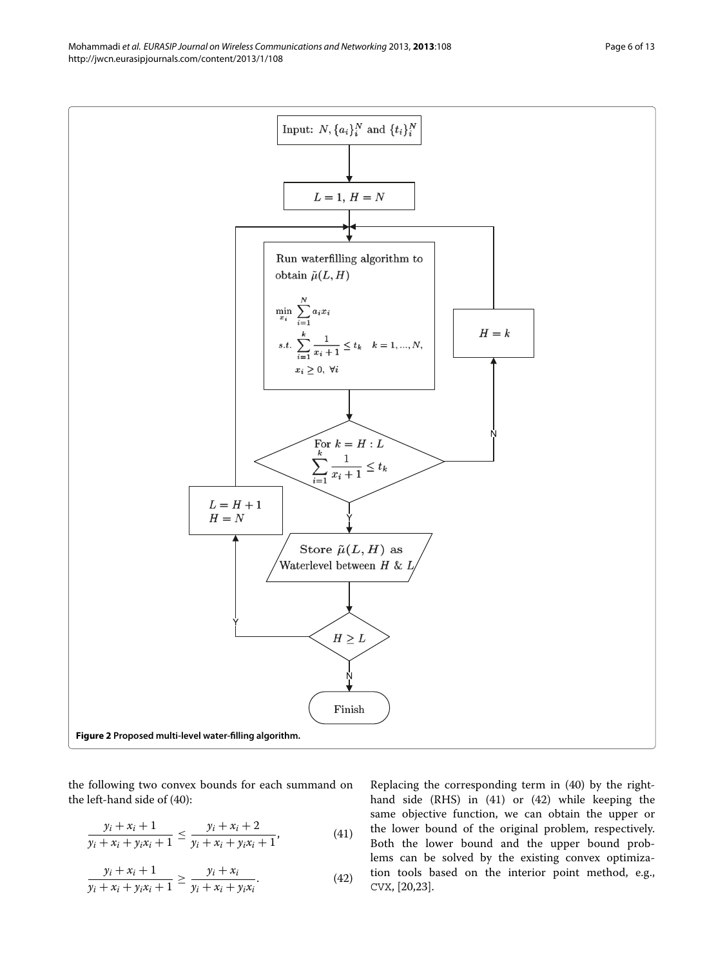Mohammadi *et al. EURASIP Journal on Wireless Communications and Networking* 2013, **2013**:108 Page 6 of 13 http://jwcn.eurasipjournals.com/content/2013/1/108



<span id="page-5-2"></span>the following two convex bounds for each summand on the left-hand side of [\(40\)](#page-4-4):

$$
\frac{y_i + x_i + 1}{y_i + x_i + y_i x_i + 1} \le \frac{y_i + x_i + 2}{y_i + x_i + y_i x_i + 1},
$$
\n(41)

$$
\frac{y_i + x_i + 1}{y_i + x_i + y_i x_i + 1} \ge \frac{y_i + x_i}{y_i + x_i + y_i x_i}.
$$
 (42)

<span id="page-5-1"></span><span id="page-5-0"></span>Replacing the corresponding term in [\(40\)](#page-4-4) by the righthand side (RHS) in [\(41\)](#page-5-0) or [\(42\)](#page-5-1) while keeping the same objective function, we can obtain the upper or the lower bound of the original problem, respectively. Both the lower bound and the upper bound problems can be solved by the existing convex optimization tools based on the interior point method, e.g., CVX, [\[20](#page-12-11)[,23\]](#page-12-14).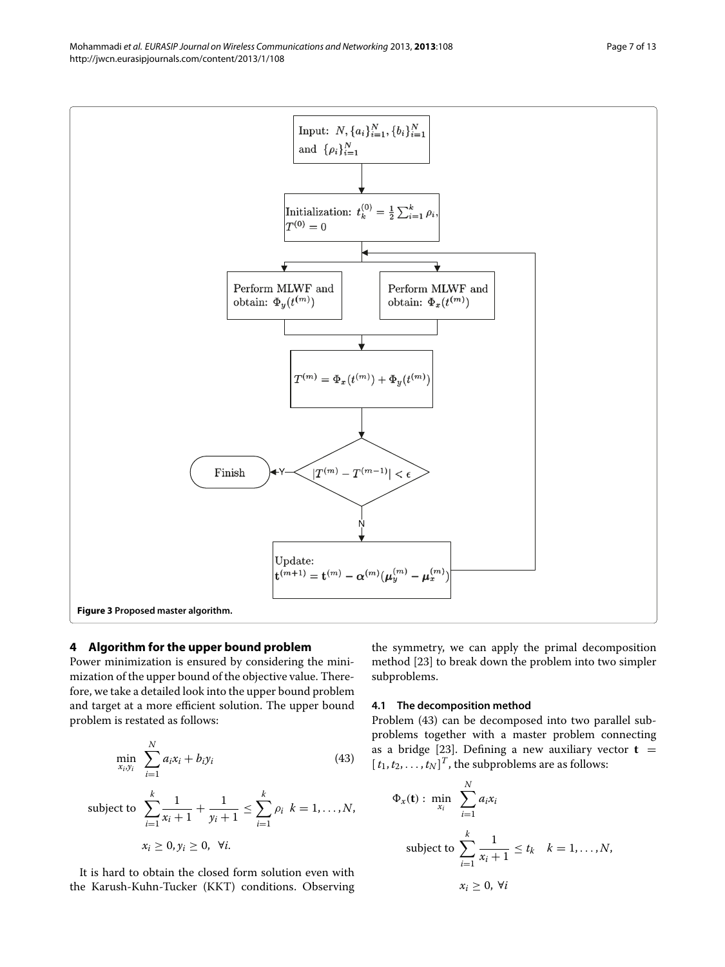Mohammadi *et al. EURASIP Journal on Wireless Communications and Networking 2013, 2013:108* Page 7 of 13 http://jwcn.eurasipjournals.com/content/2013/1/108



# <span id="page-6-2"></span><span id="page-6-0"></span>**4 Algorithm for the upper bound problem**

Power minimization is ensured by considering the minimization of the upper bound of the objective value. Therefore, we take a detailed look into the upper bound problem and target at a more efficient solution. The upper bound problem is restated as follows:

$$
\min_{x_i, y_i} \sum_{i=1}^N a_i x_i + b_i y_i \tag{43}
$$

subject to 
$$
\sum_{i=1}^{k} \frac{1}{x_i + 1} + \frac{1}{y_i + 1} \le \sum_{i=1}^{k} \rho_i \quad k = 1, ..., N,
$$

$$
x_i \ge 0, y_i \ge 0, \quad \forall i.
$$

It is hard to obtain the closed form solution even with the Karush-Kuhn-Tucker (KKT) conditions. Observing the symmetry, we can apply the primal decomposition method [\[23\]](#page-12-14) to break down the problem into two simpler subproblems.

## **4.1 The decomposition method**

<span id="page-6-1"></span>Problem [\(43\)](#page-6-1) can be decomposed into two parallel subproblems together with a master problem connecting as a bridge [\[23\]](#page-12-14). Defining a new auxiliary vector  $t =$  $[t_1, t_2, \ldots, t_N]^T$ , the subproblems are as follows:

$$
\Phi_x(\mathbf{t}) : \min_{x_i} \sum_{i=1}^N a_i x_i
$$
\nsubject to\n
$$
\sum_{i=1}^k \frac{1}{x_i + 1} \le t_k \quad k = 1, \dots, N,
$$
\n
$$
x_i \ge 0, \forall i
$$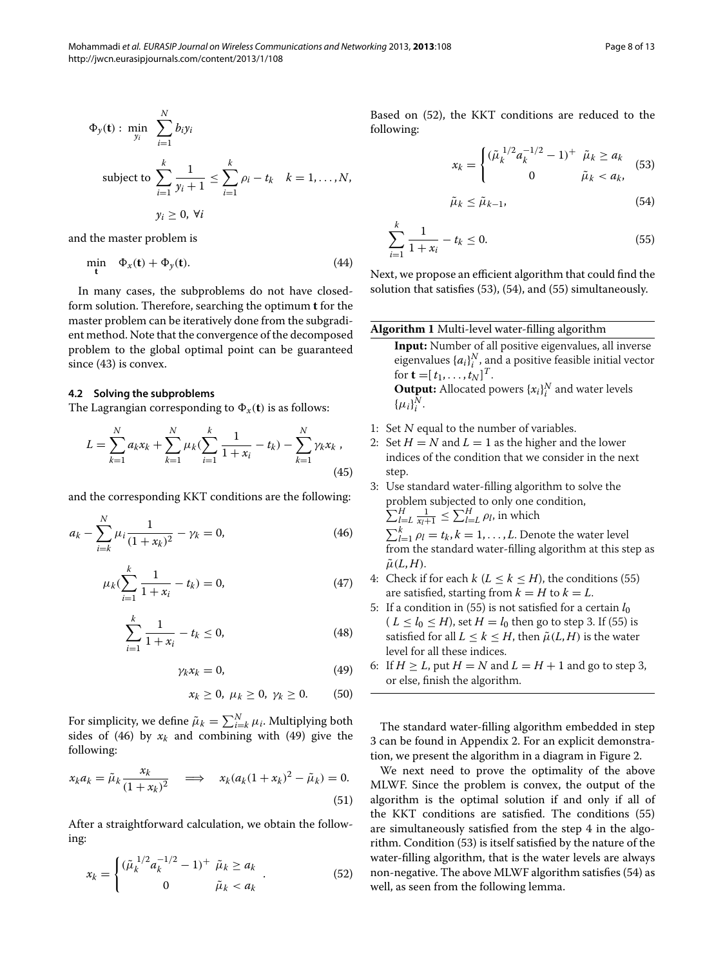$$
\Phi_y(\mathbf{t}): \min_{y_i} \sum_{i=1}^N b_i y_i
$$

subject to 
$$
\sum_{i=1}^{k} \frac{1}{y_i + 1} \leq \sum_{i=1}^{k} \rho_i - t_k \quad k = 1, ..., N,
$$

$$
y_i \geq 0, \forall i
$$

and the master problem is

$$
\min_{\mathbf{t}} \quad \Phi_x(\mathbf{t}) + \Phi_y(\mathbf{t}). \tag{44}
$$

In many cases, the subproblems do not have closedform solution. Therefore, searching the optimum **t** for the master problem can be iteratively done from the subgradient method. Note that the convergence of the decomposed problem to the global optimal point can be guaranteed since [\(43\)](#page-6-1) is convex.

#### **4.2 Solving the subproblems**

The Lagrangian corresponding to  $\Phi_x(\mathbf{t})$  is as follows:

$$
L = \sum_{k=1}^{N} a_k x_k + \sum_{k=1}^{N} \mu_k (\sum_{i=1}^{k} \frac{1}{1 + x_i} - t_k) - \sum_{k=1}^{N} \gamma_k x_k,
$$
\n(45)

and the corresponding KKT conditions are the following:

$$
a_k - \sum_{i=k}^{N} \mu_i \frac{1}{(1+x_k)^2} - \gamma_k = 0,
$$
 (46)

$$
\mu_k(\sum_{i=1}^k \frac{1}{1+x_i} - t_k) = 0,\tag{47}
$$

$$
\sum_{i=1}^{k} \frac{1}{1+x_i} - t_k \le 0,
$$
\n(48)

$$
\gamma_k x_k = 0, \tag{49}
$$

$$
x_k \geq 0, \ \mu_k \geq 0, \ \gamma_k \geq 0. \qquad (50)
$$

For simplicity, we define  $\tilde{\mu}_k = \sum_{i=k}^{N} \mu_i$ . Multiplying both sides of [\(46\)](#page-7-0) by  $x_k$  and combining with [\(49\)](#page-7-1) give the following:

$$
x_k a_k = \tilde{\mu}_k \frac{x_k}{(1 + x_k)^2} \quad \Longrightarrow \quad x_k (a_k (1 + x_k)^2 - \tilde{\mu}_k) = 0. \tag{51}
$$

After a straightforward calculation, we obtain the following:

<span id="page-7-2"></span>
$$
x_k = \begin{cases} (\tilde{\mu}_k^{1/2} a_k^{-1/2} - 1)^+ & \tilde{\mu}_k \ge a_k \\ 0 & \tilde{\mu}_k < a_k \end{cases} . \tag{52}
$$

Based on [\(52\)](#page-7-2), the KKT conditions are reduced to the following:

<span id="page-7-3"></span>
$$
x_k = \begin{cases} (\tilde{\mu}_k^{1/2} a_k^{-1/2} - 1)^+ & \tilde{\mu}_k \ge a_k \\ 0 & \tilde{\mu}_k < a_k, \end{cases}
$$
 (53)

<span id="page-7-5"></span><span id="page-7-4"></span>
$$
\tilde{\mu}_k \le \tilde{\mu}_{k-1},\tag{54}
$$

$$
\sum_{i=1}^{k} \frac{1}{1+x_i} - t_k \le 0.
$$
\n(55)

Next, we propose an efficient algorithm that could find the solution that satisfies [\(53\)](#page-7-3), [\(54\)](#page-7-4), and [\(55\)](#page-7-5) simultaneously.

#### **Algorithm 1** Multi-level water-filling algorithm

**Input:** Number of all positive eigenvalues, all inverse eigenvalues  $\{a_i\}_{i=1}^N$ , and a positive feasible initial vector for **t** =  $[t_1, ..., t_N]^T$ . **Output:** Allocated powers  $\{x_i\}_i^N$  and water levels  $\{\mu_i\}_i^N$ .

- 1: Set <sup>N</sup> equal to the number of variables.
- 2: Set  $H = N$  and  $L = 1$  as the higher and the lower indices of the condition that we consider in the next step.
- 3: Use standard water-filling algorithm to solve the problem subjected to only one condition,  $\sum_{l=L}^{H} \frac{1}{x_l+1} \leq \sum_{l=L}^{H} \rho_l$ , in which

<span id="page-7-0"></span> $\sum_{k=1}^{k} \rho_l = t_k, k = 1, \ldots, L$ . Denote the water level from the standard water-filling algorithm at this step as  $\tilde{\mu}(L, H)$ .

- 4: Check if for each  $k$  ( $L \le k \le H$ ), the conditions [\(55\)](#page-7-5) are satisfied, starting from  $k = H$  to  $k = L$ .
- 5: If a condition in [\(55\)](#page-7-5) is not satisfied for a certain  $l_0$  $(L \le l_0 \le H)$ , set  $H = l_0$  then go to step 3. If [\(55\)](#page-7-5) is satisfied for all  $L < k < H$ , then  $\tilde{\mu}(L, H)$  is the water level for all these indices.
- <span id="page-7-1"></span>6: If  $H > L$ , put  $H = N$  and  $L = H + 1$  and go to step 3, or else, finish the algorithm.

The standard water-filling algorithm embedded in step 3 can be found in Appendix [2.](#page-11-7) For an explicit demonstration, we present the algorithm in a diagram in Figure [2.](#page-5-2)

We next need to prove the optimality of the above MLWF. Since the problem is convex, the output of the algorithm is the optimal solution if and only if all of the KKT conditions are satisfied. The conditions [\(55\)](#page-7-5) are simultaneously satisfied from the step 4 in the algorithm. Condition [\(53\)](#page-7-3) is itself satisfied by the nature of the water-filling algorithm, that is the water levels are always non-negative. The above MLWF algorithm satisfies [\(54\)](#page-7-4) as well, as seen from the following lemma.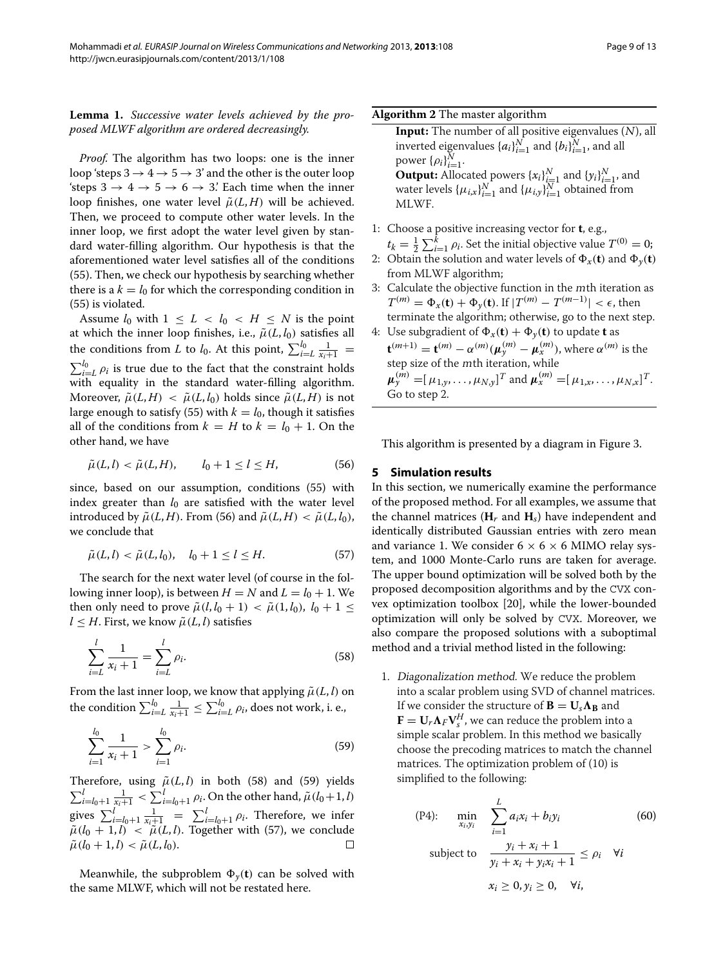**Lemma 1.** *Successive water levels achieved by the proposed MLWF algorithm are ordered decreasingly.*

*Proof.* The algorithm has two loops: one is the inner loop 'steps  $3 \rightarrow 4 \rightarrow 5 \rightarrow 3'$  and the other is the outer loop 'steps  $3 \rightarrow 4 \rightarrow 5 \rightarrow 6 \rightarrow 3$ '. Each time when the inner loop finishes, one water level  $\tilde{\mu}(L, H)$  will be achieved. Then, we proceed to compute other water levels. In the inner loop, we first adopt the water level given by standard water-filling algorithm. Our hypothesis is that the aforementioned water level satisfies all of the conditions [\(55\)](#page-7-5). Then, we check our hypothesis by searching whether there is a  $k = l_0$  for which the corresponding condition in [\(55\)](#page-7-5) is violated.

Assume  $l_0$  with  $1 \leq L < l_0 < H \leq N$  is the point at which the inner loop finishes, i.e.,  $\tilde{\mu}(L, l_0)$  satisfies all the conditions from *L* to *l*<sub>0</sub>. At this point,  $\sum_{i=L}^{l_0} \frac{1}{x_i+1}$  =  $\sum_{i=1}^{l_0} \rho_i$  is true due to the fact that the constraint holds with equality in the standard water-filling algorithm. Moreover,  $\tilde{\mu}(L, H) < \tilde{\mu}(L, l_0)$  holds since  $\tilde{\mu}(L, H)$  is not large enough to satisfy [\(55\)](#page-7-5) with  $k = l_0$ , though it satisfies all of the conditions from  $k = H$  to  $k = l_0 + 1$ . On the other hand, we have

<span id="page-8-1"></span>
$$
\tilde{\mu}(L, l) < \tilde{\mu}(L, H), \qquad l_0 + 1 \le l \le H,\tag{56}
$$

since, based on our assumption, conditions [\(55\)](#page-7-5) with index greater than  $l_0$  are satisfied with the water level introduced by  $\tilde{\mu}(L, H)$ . From [\(56\)](#page-8-1) and  $\tilde{\mu}(L, H) < \tilde{\mu}(L, l_0)$ , we conclude that

<span id="page-8-4"></span>
$$
\tilde{\mu}(L, l) < \tilde{\mu}(L, l_0), \quad l_0 + 1 \le l \le H.
$$
\n(57)

The search for the next water level (of course in the following inner loop), is between  $H = N$  and  $L = l_0 + 1$ . We then only need to prove  $\tilde{\mu}(l, l_0 + 1) < \tilde{\mu}(1, l_0)$ ,  $l_0 + 1 \leq$  $l \leq H$ . First, we know  $\tilde{\mu}(L, l)$  satisfies

$$
\sum_{i=L}^{l} \frac{1}{x_i + 1} = \sum_{i=L}^{l} \rho_i.
$$
 (58)

From the last inner loop, we know that applying  $\tilde{\mu}(L, l)$  on the condition  $\sum_{i=L}^{l_0} \frac{1}{x_i+1} \le \sum_{i=L}^{l_0} \rho_i$ , does not work, i. e.,

$$
\sum_{i=1}^{l_0} \frac{1}{x_i + 1} > \sum_{i=1}^{l_0} \rho_i.
$$
 (59)

Therefore, using  $\tilde{\mu}(L, l)$  in both [\(58\)](#page-8-2) and [\(59\)](#page-8-3) yields  $\sum_{i=l_0+1}^{l} \frac{1}{x_i+1} < \sum_{i=l_0+1}^{l} \rho_i$ . On the other hand,  $\tilde{\mu}(l_0+1, l)$ gives  $\sum_{i=l_0+1}^{l} \frac{1}{x_i+1} = \sum_{i=l_0+1}^{l} \rho_i$ . Therefore, we infer  $\tilde{\mu}(l_0 + 1, l) < \tilde{\mu}(L, l)$ . Together with [\(57\)](#page-8-4), we conclude  $\tilde{\mu}(l_0 + 1, l) < \tilde{\mu}(L, l_0)$ .

Meanwhile, the subproblem  $\Phi_{\gamma}(\mathbf{t})$  can be solved with the same MLWF, which will not be restated here.

**Algorithm 2** The master algorithm

**Input:** The number of all positive eigenvalues (N), all inverted eigenvalues  $\{a_i\}_{i=1}^N$  and  $\{b_i\}_{i=1}^N$ , and all  $power\{\rho_i\}_{i=1}^N$ . **Output:** Allocated powers  $\{x_i\}_{i=1}^N$  and  $\{y_i\}_{i=1}^N$ , and water levels  $\{\mu_{i,x}\}_{i=1}^N$  and  $\{\mu_{i,y}\}_{i=1}^N$  obtained from MLWF.

- 1: Choose a positive increasing vector for **t**, e.g.,  $t_k = \frac{1}{2} \sum_{i=1}^k \rho_i$ . Set the initial objective value  $T^{(0)} = 0$ ;
- 2: Obtain the solution and water levels of  $\Phi_x(\mathbf{t})$  and  $\Phi_y(\mathbf{t})$ from MLWF algorithm;
- 3: Calculate the objective function in the <sup>m</sup>th iteration as  $T^{(m)} = \Phi_x(\mathbf{t}) + \Phi_y(\mathbf{t})$ . If  $|T^{(m)} - T^{(m-1)}| < \epsilon$ , then terminate the algorithm; otherwise, go to the next step.
- 4: Use subgradient of  $\Phi_x(\mathbf{t}) + \Phi_y(\mathbf{t})$  to update **t** as  ${\bf t}^{(m+1)}={\bf t}^{(m)}-\alpha^{(m)}(\mu_{y}^{(m)}-\mu_{x}^{(m)})$ , where  $\alpha^{(m)}$  is the step size of the <sup>m</sup>th iteration, while  $\boldsymbol{\mu}_y^{(m)} = [\mu_{1,y}, \dots, \mu_{N,y}]^T$  and  $\boldsymbol{\mu}_x^{(m)} = [\mu_{1,x}, \dots, \mu_{N,x}]^T$ . Go to step 2.

This algorithm is presented by a diagram in Figure [3.](#page-6-2)

#### <span id="page-8-0"></span>**5 Simulation results**

In this section, we numerically examine the performance of the proposed method. For all examples, we assume that the channel matrices  $(H_r$  and  $H_s$ ) have independent and identically distributed Gaussian entries with zero mean and variance 1. We consider  $6 \times 6 \times 6$  MIMO relay system, and 1000 Monte-Carlo runs are taken for average. The upper bound optimization will be solved both by the proposed decomposition algorithms and by the CVX convex optimization toolbox [\[20\]](#page-12-11), while the lower-bounded optimization will only be solved by CVX. Moreover, we also compare the proposed solutions with a suboptimal method and a trivial method listed in the following:

<span id="page-8-3"></span><span id="page-8-2"></span>1. Diagonalization method. We reduce the problem into a scalar problem using SVD of channel matrices. If we consider the structure of  $\mathbf{B} = \mathbf{U}_s \mathbf{\Lambda_B}$  and  $\mathbf{F} = \mathbf{U}_r \mathbf{\Lambda}_F \mathbf{V}_s^H$ , we can reduce the problem into a simple scalar problem. In this method we basically choose the precoding matrices to match the channel matrices. The optimization problem of [\(10\)](#page-2-3) is simplified to the following:

<span id="page-8-5"></span>(P4): 
$$
\min_{x_i, y_i} \sum_{i=1}^{L} a_i x_i + b_i y_i
$$
 (60)  
subject to 
$$
\frac{y_i + x_i + 1}{y_i + x_i + y_i x_i + 1} \le \rho_i \quad \forall i
$$

$$
x_i \ge 0, y_i \ge 0, \quad \forall i,
$$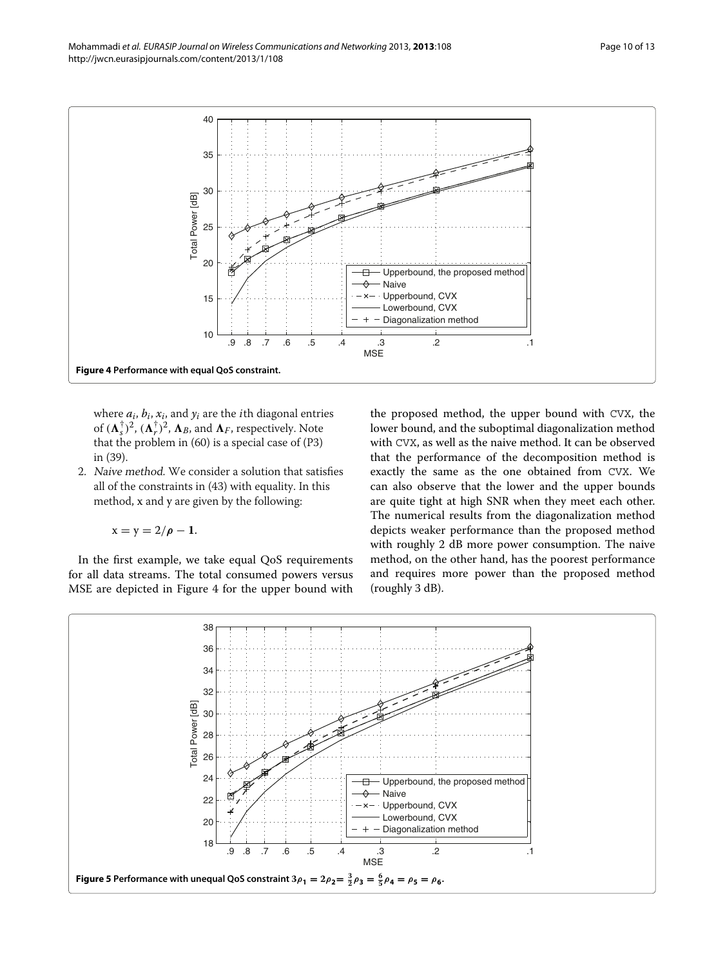

<span id="page-9-0"></span>where  $a_i$ ,  $b_i$ ,  $x_i$ , and  $y_i$  are the *i*th diagonal entries of  $(\mathbf{\Lambda}_{s}^{\dagger})^{2}$ ,  $(\mathbf{\Lambda}_{r}^{\dagger})^{2}$ ,  $\mathbf{\Lambda}_{B}$ , and  $\mathbf{\Lambda}_{F}$ , respectively. Note that the problem in [\(60\)](#page-8-5) is a special case of (P3) in [\(39\)](#page-4-5).

2. Naive method. We consider a solution that satisfies all of the constraints in [\(43\)](#page-6-1) with equality. In this method, x and y are given by the following:

$$
x=y=2/\pmb{\rho}-\mathbf{1}.
$$

In the first example, we take equal QoS requirements for all data streams. The total consumed powers versus MSE are depicted in Figure [4](#page-9-0) for the upper bound with

the proposed method, the upper bound with CVX, the lower bound, and the suboptimal diagonalization method with CVX, as well as the naive method. It can be observed that the performance of the decomposition method is exactly the same as the one obtained from CVX. We can also observe that the lower and the upper bounds are quite tight at high SNR when they meet each other. The numerical results from the diagonalization method depicts weaker performance than the proposed method with roughly 2 dB more power consumption. The naive method, on the other hand, has the poorest performance and requires more power than the proposed method (roughly 3 dB).

<span id="page-9-1"></span>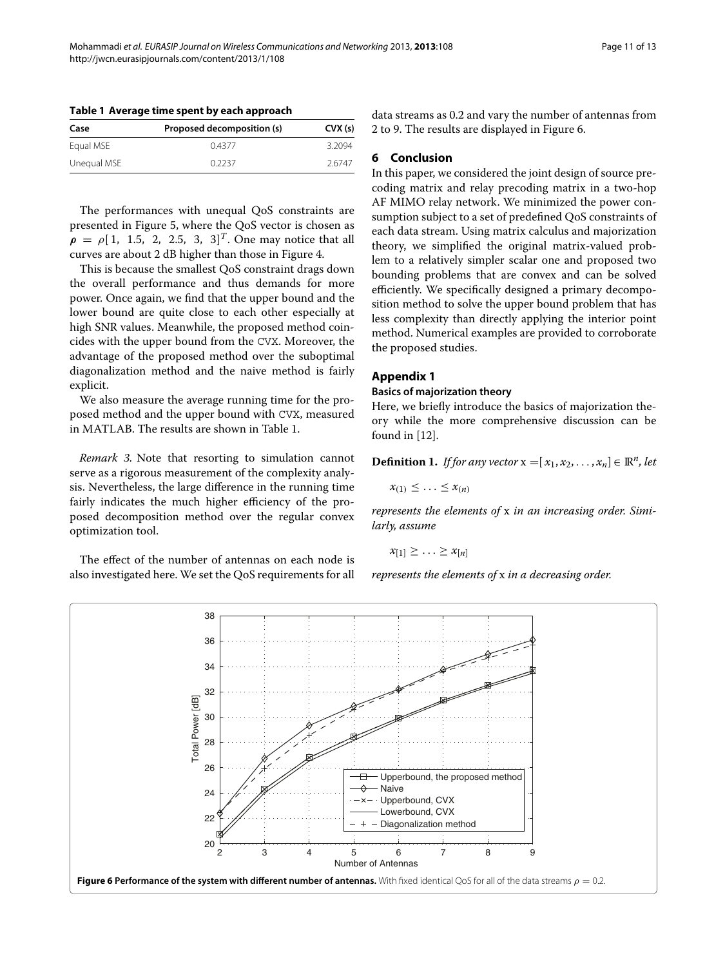<span id="page-10-2"></span>

|  |  |  | Table 1 Average time spent by each approach |
|--|--|--|---------------------------------------------|
|--|--|--|---------------------------------------------|

| Case        | Proposed decomposition (s) | CUX(s) |
|-------------|----------------------------|--------|
| Equal MSE   | 04377                      | 3.2094 |
| Unequal MSE | 0.2237                     | 26747  |

The performances with unequal QoS constraints are presented in Figure [5,](#page-9-1) where the QoS vector is chosen as  $\rho = \rho [1, 1.5, 2, 2.5, 3, 3]^T$ . One may notice that all curves are about 2 dB higher than those in Figure [4.](#page-9-0)

This is because the smallest QoS constraint drags down the overall performance and thus demands for more power. Once again, we find that the upper bound and the lower bound are quite close to each other especially at high SNR values. Meanwhile, the proposed method coincides with the upper bound from the CVX. Moreover, the advantage of the proposed method over the suboptimal diagonalization method and the naive method is fairly explicit.

We also measure the average running time for the proposed method and the upper bound with CVX, measured in MATLAB. The results are shown in Table [1.](#page-10-2)

*Remark 3.* Note that resorting to simulation cannot serve as a rigorous measurement of the complexity analysis. Nevertheless, the large difference in the running time fairly indicates the much higher efficiency of the proposed decomposition method over the regular convex optimization tool.

The effect of the number of antennas on each node is also investigated here. We set the QoS requirements for all data streams as 0.2 and vary the number of antennas from 2 to 9. The results are displayed in Figure [6.](#page-10-3)

# <span id="page-10-0"></span>**6 Conclusion**

In this paper, we considered the joint design of source precoding matrix and relay precoding matrix in a two-hop AF MIMO relay network. We minimized the power consumption subject to a set of predefined QoS constraints of each data stream. Using matrix calculus and majorization theory, we simplified the original matrix-valued problem to a relatively simpler scalar one and proposed two bounding problems that are convex and can be solved efficiently. We specifically designed a primary decomposition method to solve the upper bound problem that has less complexity than directly applying the interior point method. Numerical examples are provided to corroborate the proposed studies.

# <span id="page-10-1"></span>**Appendix 1**

# **Basics of majorization theory**

Here, we briefly introduce the basics of majorization theory while the more comprehensive discussion can be found in [\[12\]](#page-12-3).

**Definition 1.** *If for any vector*  $x = [x_1, x_2, \ldots, x_n] \in \mathbb{R}^n$ , let

$$
x_{(1)} \leq \ldots \leq x_{(n)}
$$

*represents the elements of* x *in an increasing order. Similarly, assume*

$$
x_{[1]} \geq \ldots \geq x_{[n]}
$$

*represents the elements of* x *in a decreasing order.*

<span id="page-10-3"></span>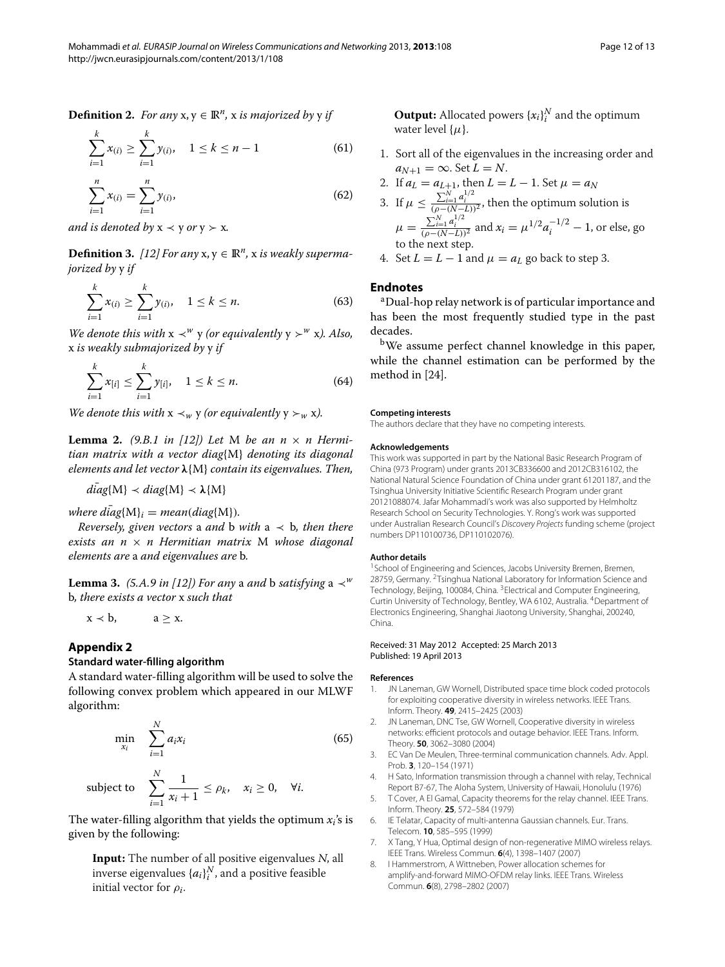**Definition 2.** *For any*  $x, y \in \mathbb{R}^n$ , x *is majorized by* y *if* 

$$
\sum_{i=1}^{k} x_{(i)} \ge \sum_{i=1}^{k} y_{(i)}, \quad 1 \le k \le n-1 \tag{61}
$$

$$
\sum_{i=1}^{n} x_{(i)} = \sum_{i=1}^{n} y_{(i)},
$$
\n(62)

*and is denoted by*  $x \prec y$  *or*  $y \succ x$ *.* 

**Definition 3.** [\[12\]](#page-12-3) For any  $x, y \in \mathbb{R}^n$ , x is weakly superma*jorized by* y *if*

$$
\sum_{i=1}^{k} x_{(i)} \ge \sum_{i=1}^{k} y_{(i)}, \quad 1 \le k \le n.
$$
 (63)

*We denote this with*  $x \prec^w y$  *(or equivalently*  $y \succ^w x$ *). Also,* x *is weakly submajorized by* y *if*

$$
\sum_{i=1}^{k} x_{[i]} \le \sum_{i=1}^{k} y_{[i]}, \quad 1 \le k \le n.
$$
 (64)

*We denote this with*  $x \prec_w y$  *(or equivalently*  $y \succ_w x$ *).* 

**Lemma 2.** (9.B.1 in [\[12\]](#page-12-3)) Let M be an  $n \times n$  Hermi*tian matrix with a vector diag*{M} *denoting its diagonal elements and let vector λ*{M} *contain its eigenvalues. Then,*

 $diag\{M\} \prec diag\{M\} \prec \lambda\{M\}$ 

 $where \text{ } diag\{M\}_i = mean(diag\{M\}).$ 

*Reversely, given vectors* a *and* b *with*  $a \prec b$ *, then there exists an n* × *n Hermitian matrix* M *whose diagonal elements are* a *and eigenvalues are* b*.*

**Lemma 3.** *(5.A.9 in [\[12\]](#page-12-3)) For any* a *and* b *satisfying* a  $\prec^w$ b*, there exists a vector* x *such that*

$$
x \prec b, \qquad a \geq x.
$$

# <span id="page-11-7"></span>**Appendix 2**

# **Standard water-filling algorithm**

A standard water-filling algorithm will be used to solve the following convex problem which appeared in our MLWF algorithm:

$$
\min_{x_i} \quad \sum_{i=1}^N a_i x_i \tag{65}
$$

subject to 
$$
\sum_{i=1}^{N} \frac{1}{x_i + 1} \leq \rho_k, \quad x_i \geq 0, \quad \forall i.
$$

The water-filling algorithm that yields the optimum  $x_i$ 's is given by the following:

**Input:** The number of all positive eigenvalues <sup>N</sup>, all inverse eigenvalues  $\{a_i\}_i^N$ , and a positive feasible initial vector for *ρi*.

**Output:** Allocated powers  $\{x_i\}_i^N$  and the optimum water level  $\{\mu\}$ .

1. Sort all of the eigenvalues in the increasing order and  $a_{N+1} = \infty$ . Set  $L = N$ .

2. If 
$$
a_L = a_{L+1}
$$
, then  $L = L - 1$ . Set  $\mu = a_N$ 

3. If 
$$
\mu \le \frac{\sum_{i=1}^{N} a_i^{1/2}}{(\rho - (N-L))^2}
$$
, then the optimum solution is  
\n $\mu = \frac{\sum_{i=1}^{N} a_i^{1/2}}{(\rho - (N-L))^2}$  and  $x_i = \mu^{1/2} a_i^{-1/2} - 1$ , or else, go to the next step.

4. Set  $L = L - 1$  and  $\mu = a_L$  go back to step 3.

# **Endnotes**

aDual-hop relay network is of particular importance and has been the most frequently studied type in the past decades.

bWe assume perfect channel knowledge in this paper, while the channel estimation can be performed by the method in [\[24\]](#page-12-15).

#### **Competing interests**

The authors declare that they have no competing interests.

#### **Acknowledgements**

This work was supported in part by the National Basic Research Program of China (973 Program) under grants 2013CB336600 and 2012CB316102, the National Natural Science Foundation of China under grant 61201187, and the Tsinghua University Initiative Scientific Research Program under grant 20121088074. Jafar Mohammadi's work was also supported by Helmholtz Research School on Security Technologies. Y. Rong's work was supported under Australian Research Council's Discovery Projects funding scheme (project numbers DP110100736, DP110102076).

#### **Author details**

<sup>1</sup> School of Engineering and Sciences, Jacobs University Bremen, Bremen, 28759, Germany. <sup>2</sup>Tsinghua National Laboratory for Information Science and Technology, Beijing, 100084, China. 3Electrical and Computer Engineering, Curtin University of Technology, Bentley, WA 6102, Australia. 4Department of Electronics Engineering, Shanghai Jiaotong University, Shanghai, 200240, China.

#### Received: 31 May 2012 Accepted: 25 March 2013 Published: 19 April 2013

#### **References**

- <span id="page-11-0"></span>1. JN Laneman, GW Wornell, Distributed space time block coded protocols for exploiting cooperative diversity in wireless networks. IEEE Trans. Inform. Theory. **49**, 2415–2425 (2003)
- <span id="page-11-1"></span>2. JN Laneman, DNC Tse, GW Wornell, Cooperative diversity in wireless networks: efficient protocols and outage behavior. IEEE Trans. Inform. Theory. **50**, 3062–3080 (2004)
- <span id="page-11-2"></span>3. EC Van De Meulen, Three-terminal communication channels. Adv. Appl. Prob. **3**, 120–154 (1971)
- 4. H Sato, Information transmission through a channel with relay, Technical Report B7-67, The Aloha System, University of Hawaii, Honolulu (1976)
- <span id="page-11-3"></span>5. T Cover, A El Gamal, Capacity theorems for the relay channel. IEEE Trans. Inform. Theory. **25**, 572–584 (1979)
- <span id="page-11-4"></span>6. IE Telatar, Capacity of multi-antenna Gaussian channels. Eur. Trans. Telecom. **10**, 585–595 (1999)
- <span id="page-11-5"></span>7. X Tang, Y Hua, Optimal design of non-regenerative MIMO wireless relays. IEEE Trans. Wireless Commun. **6**(4), 1398–1407 (2007)
- <span id="page-11-6"></span>8. I Hammerstrom, A Wittneben, Power allocation schemes for amplify-and-forward MIMO-OFDM relay links. IEEE Trans. Wireless Commun. **6**(8), 2798–2802 (2007)